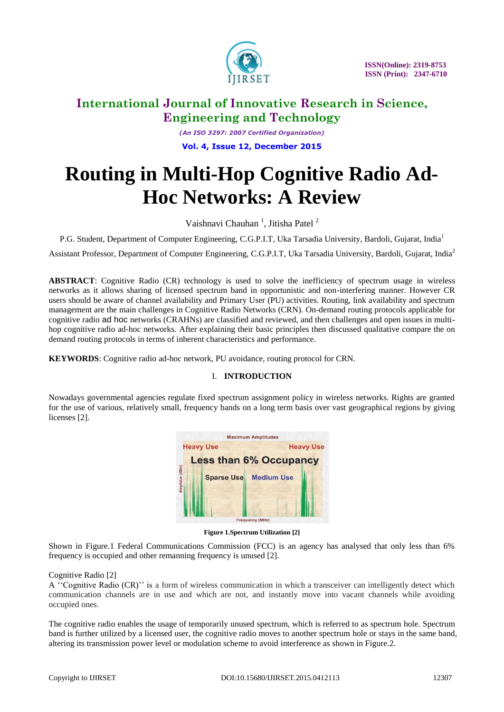

*(An ISO 3297: 2007 Certified Organization)* **Vol. 4, Issue 12, December 2015**

# **Routing in Multi-Hop Cognitive Radio Ad-Hoc Networks: A Review**

Vaishnavi Chauhan<sup>1</sup>, Jitisha Patel<sup>2</sup>

P.G. Student, Department of Computer Engineering, C.G.P.I.T, Uka Tarsadia University, Bardoli, Gujarat, India<sup>1</sup>

Assistant Professor, Department of Computer Engineering, C.G.P.I.T, Uka Tarsadia University, Bardoli, Gujarat, India<sup>2</sup>

**ABSTRACT**: Cognitive Radio (CR) technology is used to solve the inefficiency of spectrum usage in wireless networks as it allows sharing of licensed spectrum band in opportunistic and non-interfering manner. However CR users should be aware of channel availability and Primary User (PU) activities. Routing, link availability and spectrum management are the main challenges in Cognitive Radio Networks (CRN). On-demand routing protocols applicable for cognitive radio ad hoc networks (CRAHNs) are classified and reviewed, and then challenges and open issues in multihop cognitive radio ad-hoc networks. After explaining their basic principles then discussed qualitative compare the on demand routing protocols in terms of inherent characteristics and performance.

**KEYWORDS**: Cognitive radio ad-hoc network, PU avoidance, routing protocol for CRN.

## I. **INTRODUCTION**

Nowadays governmental agencies regulate fixed spectrum assignment policy in wireless networks. Rights are granted for the use of various, relatively small, frequency bands on a long term basis over vast geographical regions by giving licenses [2].



**Figure 1.Spectrum Utilization [2]**

Shown in Figure.1 Federal Communications Commission (FCC) is an agency has analysed that only less than 6% frequency is occupied and other remanning frequency is unused [2].

## Cognitive Radio [2]

A ''Cognitive Radio (CR)'' is a form of wireless communication in which a transceiver can intelligently detect which communication channels are in use and which are not, and instantly move into vacant channels while avoiding occupied ones.

The cognitive radio enables the usage of temporarily unused spectrum, which is referred to as spectrum hole. Spectrum band is further utilized by a licensed user, the cognitive radio moves to another spectrum hole or stays in the same band, altering its transmission power level or modulation scheme to avoid interference as shown in Figure.2.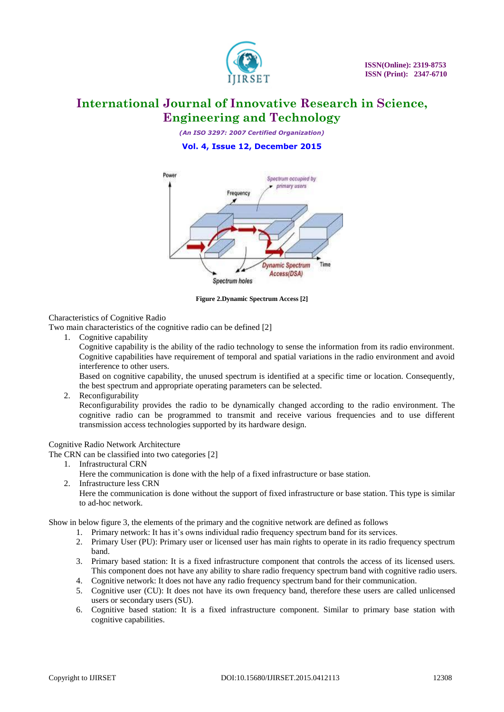

*(An ISO 3297: 2007 Certified Organization)*

**Vol. 4, Issue 12, December 2015**



**Figure 2.Dynamic Spectrum Access [2]**

## Characteristics of Cognitive Radio

Two main characteristics of the cognitive radio can be defined [2]

1. Cognitive capability

Cognitive capability is the ability of the radio technology to sense the information from its radio environment. Cognitive capabilities have requirement of temporal and spatial variations in the radio environment and avoid interference to other users.

Based on cognitive capability, the unused spectrum is identified at a specific time or location. Consequently, the best spectrum and appropriate operating parameters can be selected.

2. Reconfigurability

Reconfigurability provides the radio to be dynamically changed according to the radio environment. The cognitive radio can be programmed to transmit and receive various frequencies and to use different transmission access technologies supported by its hardware design.

#### Cognitive Radio Network Architecture

The CRN can be classified into two categories [2]

1. Infrastructural CRN

Here the communication is done with the help of a fixed infrastructure or base station.

2. Infrastructure less CRN

Here the communication is done without the support of fixed infrastructure or base station. This type is similar to ad-hoc network.

Show in below figure 3, the elements of the primary and the cognitive network are defined as follows

- 1. Primary network: It has it's owns individual radio frequency spectrum band for its services.
- 2. Primary User (PU): Primary user or licensed user has main rights to operate in its radio frequency spectrum band.
- 3. Primary based station: It is a fixed infrastructure component that controls the access of its licensed users. This component does not have any ability to share radio frequency spectrum band with cognitive radio users.
- 4. Cognitive network: It does not have any radio frequency spectrum band for their communication.
- 5. Cognitive user (CU): It does not have its own frequency band, therefore these users are called unlicensed users or secondary users (SU).
- 6. Cognitive based station: It is a fixed infrastructure component. Similar to primary base station with cognitive capabilities.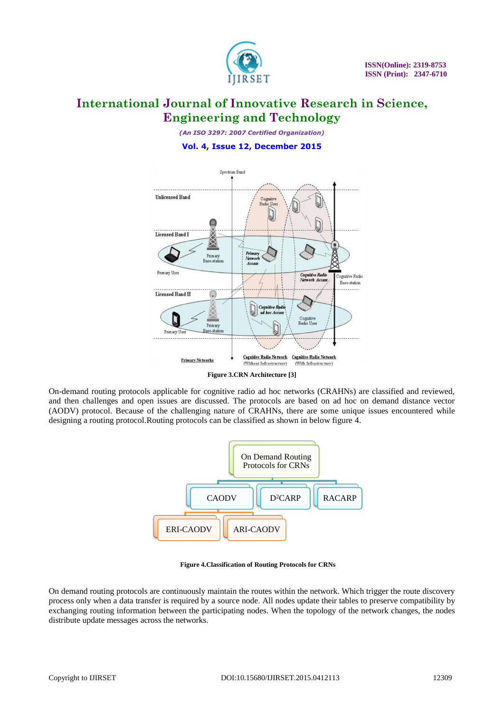

*(An ISO 3297: 2007 Certified Organization)* **Vol. 4, Issue 12, December 2015**



**Figure 3.CRN Architecture [3]**

On-demand routing protocols applicable for cognitive radio ad hoc networks (CRAHNs) are classified and reviewed, and then challenges and open issues are discussed. The protocols are based on ad hoc on demand distance vector (AODV) protocol. Because of the challenging nature of CRAHNs, there are some unique issues encountered while designing a routing protocol.Routing protocols can be classified as shown in below figure 4.



**Figure 4.Classification of Routing Protocols for CRNs**

On demand routing protocols are continuously maintain the routes within the network. Which trigger the route discovery process only when a data transfer is required by a source node. All nodes update their tables to preserve compatibility by exchanging routing information between the participating nodes. When the topology of the network changes, the nodes distribute update messages across the networks.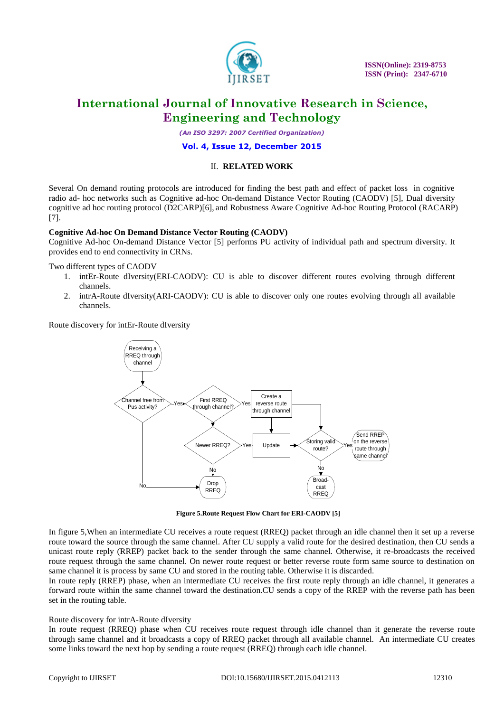

 **ISSN(Online): 2319-8753 ISSN (Print): 2347-6710** 

# **International Journal of Innovative Research in Science, Engineering and Technology**

*(An ISO 3297: 2007 Certified Organization)*

#### **Vol. 4, Issue 12, December 2015**

#### II. **RELATED WORK**

Several On demand routing protocols are introduced for finding the best path and effect of packet loss in cognitive radio ad- hoc networks such as Cognitive ad-hoc On-demand Distance Vector Routing (CAODV) [5], Dual diversity cognitive ad hoc routing protocol (D2CARP)[6], and Robustness Aware Cognitive Ad-hoc Routing Protocol (RACARP) [7].

#### **Cognitive Ad-hoc On Demand Distance Vector Routing (CAODV)**

Cognitive Ad-hoc On-demand Distance Vector [5] performs PU activity of individual path and spectrum diversity. It provides end to end connectivity in CRNs.

Two different types of CAODV

- 1. intEr-Route dIversity(ERI-CAODV): CU is able to discover different routes evolving through different channels.
- 2. intrA-Route dIversity(ARI-CAODV): CU is able to discover only one routes evolving through all available channels.

Route discovery for intEr-Route dIversity



**Figure 5.Route Request Flow Chart for ERI-CAODV [5]**

In figure 5,When an intermediate CU receives a route request (RREQ) packet through an idle channel then it set up a reverse route toward the source through the same channel. After CU supply a valid route for the desired destination, then CU sends a unicast route reply (RREP) packet back to the sender through the same channel. Otherwise, it re-broadcasts the received route request through the same channel. On newer route request or better reverse route form same source to destination on same channel it is process by same CU and stored in the routing table. Otherwise it is discarded.

In route reply (RREP) phase, when an intermediate CU receives the first route reply through an idle channel, it generates a forward route within the same channel toward the destination.CU sends a copy of the RREP with the reverse path has been set in the routing table.

#### Route discovery for intrA-Route dIversity

In route request (RREQ) phase when CU receives route request through idle channel than it generate the reverse route through same channel and it broadcasts a copy of RREQ packet through all available channel. An intermediate CU creates some links toward the next hop by sending a route request (RREQ) through each idle channel.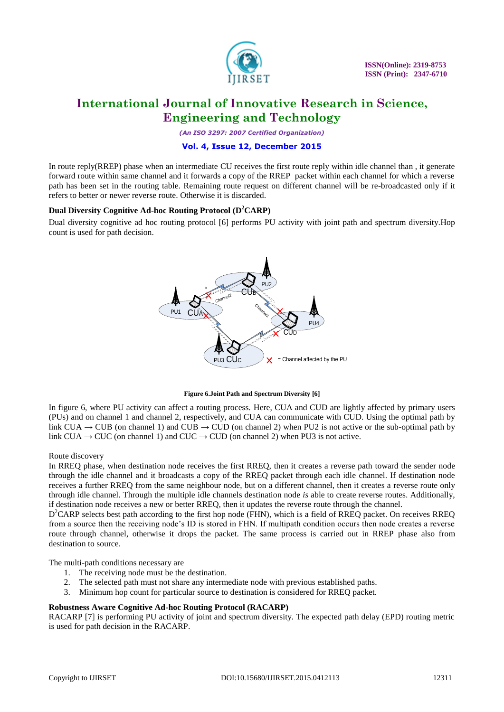

*(An ISO 3297: 2007 Certified Organization)*

### **Vol. 4, Issue 12, December 2015**

In route reply(RREP) phase when an intermediate CU receives the first route reply within idle channel than , it generate forward route within same channel and it forwards a copy of the RREP packet within each channel for which a reverse path has been set in the routing table. Remaining route request on different channel will be re-broadcasted only if it refers to better or newer reverse route. Otherwise it is discarded.

### **Dual Diversity Cognitive Ad-hoc Routing Protocol (D <sup>2</sup>CARP)**

Dual diversity cognitive ad hoc routing protocol [6] performs PU activity with joint path and spectrum diversity.Hop count is used for path decision.



#### **Figure 6.Joint Path and Spectrum Diversity [6]**

In figure 6, where PU activity can affect a routing process. Here, CUA and CUD are lightly affected by primary users (PUs) and on channel 1 and channel 2, respectively, and CUA can communicate with CUD. Using the optimal path by link CUA  $\rightarrow$  CUB (on channel 1) and CUB  $\rightarrow$  CUD (on channel 2) when PU2 is not active or the sub-optimal path by link CUA  $\rightarrow$  CUC (on channel 1) and CUC  $\rightarrow$  CUD (on channel 2) when PU3 is not active.

### Route discovery

In RREQ phase, when destination node receives the first RREQ, then it creates a reverse path toward the sender node through the idle channel and it broadcasts a copy of the RREQ packet through each idle channel. If destination node receives a further RREQ from the same neighbour node, but on a different channel, then it creates a reverse route only through idle channel. Through the multiple idle channels destination node *is* able to create reverse routes. Additionally, if destination node receives a new or better RREQ, then it updates the reverse route through the channel.

D<sup>2</sup>CARP selects best path according to the first hop node (FHN), which is a field of RREQ packet. On receives RREQ from a source then the receiving node's ID is stored in FHN. If multipath condition occurs then node creates a reverse route through channel, otherwise it drops the packet. The same process is carried out in RREP phase also from destination to source.

The multi-path conditions necessary are

- 1. The receiving node must be the destination.
- 2. The selected path must not share any intermediate node with previous established paths.
- 3. Minimum hop count for particular source to destination is considered for RREQ packet.

### **Robustness Aware Cognitive Ad-hoc Routing Protocol (RACARP)**

RACARP [7] is performing PU activity of joint and spectrum diversity. The expected path delay (EPD) routing metric is used for path decision in the RACARP.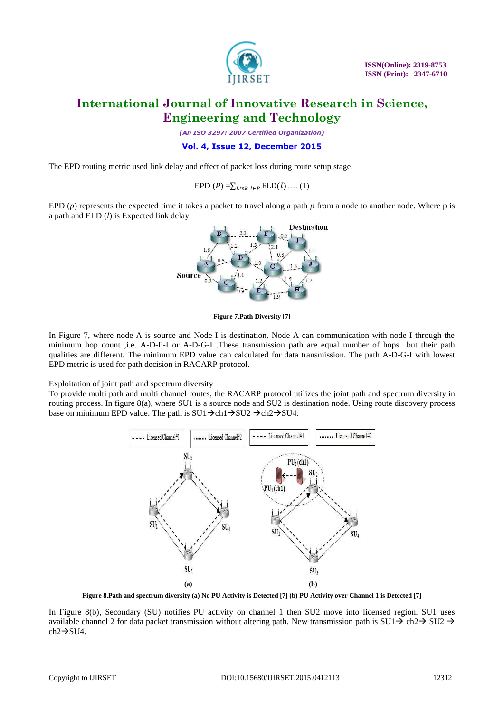

*(An ISO 3297: 2007 Certified Organization)*

**Vol. 4, Issue 12, December 2015**

The EPD routing metric used link delay and effect of packet loss during route setup stage.

EPD  $(P) = \sum_{Link} ELD(l) \dots (1)$ 

EPD (*p*) represents the expected time it takes a packet to travel along a path *p* from a node to another node. Where p is a path and ELD (*l*) is Expected link delay.



**Figure 7.Path Diversity [7]**

In Figure 7, where node A is source and Node I is destination. Node A can communication with node I through the minimum hop count ,i.e. A-D-F-I or A-D-G-I .These transmission path are equal number of hops but their path qualities are different. The minimum EPD value can calculated for data transmission. The path A-D-G-I with lowest EPD metric is used for path decision in RACARP protocol.

Exploitation of joint path and spectrum diversity

To provide multi path and multi channel routes, the RACARP protocol utilizes the joint path and spectrum diversity in routing process. In figure 8(a), where SU1 is a source node and SU2 is destination node. Using route discovery process base on minimum EPD value. The path is  $SU1\rightarrow ch1\rightarrow SU2 \rightarrow ch2\rightarrow SU4$ .



**Figure 8.Path and spectrum diversity (a) No PU Activity is Detected [7] (b) PU Activity over Channel 1 is Detected [7]**

In Figure 8(b), Secondary (SU) notifies PU activity on channel 1 then SU2 move into licensed region. SU1 uses available channel 2 for data packet transmission without altering path. New transmission path is SU1 $\rightarrow$  ch2 $\rightarrow$  SU2  $\rightarrow$  $ch2 \rightarrow SU4$ .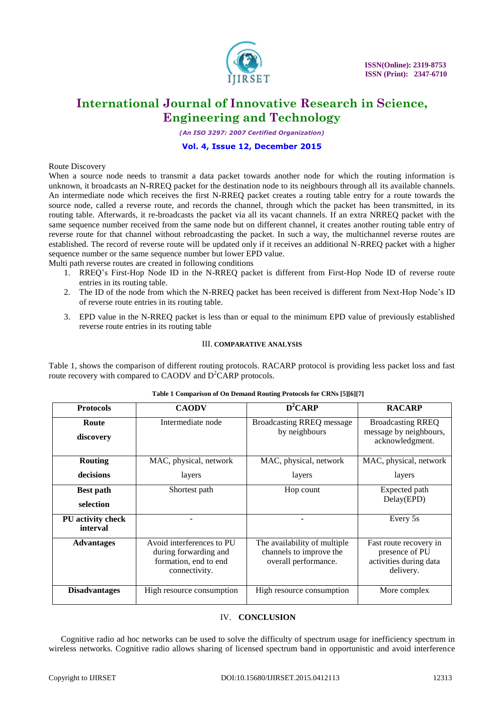

*(An ISO 3297: 2007 Certified Organization)*

#### **Vol. 4, Issue 12, December 2015**

#### Route Discovery

When a source node needs to transmit a data packet towards another node for which the routing information is unknown, it broadcasts an N-RREQ packet for the destination node to its neighbours through all its available channels. An intermediate node which receives the first N-RREQ packet creates a routing table entry for a route towards the source node, called a reverse route, and records the channel, through which the packet has been transmitted, in its routing table. Afterwards, it re-broadcasts the packet via all its vacant channels. If an extra NRREQ packet with the same sequence number received from the same node but on different channel, it creates another routing table entry of reverse route for that channel without rebroadcasting the packet. In such a way, the multichannel reverse routes are established. The record of reverse route will be updated only if it receives an additional N-RREQ packet with a higher sequence number or the same sequence number but lower EPD value.

Multi path reverse routes are created in following conditions

- 1. RREQ's First-Hop Node ID in the N-RREQ packet is different from First-Hop Node ID of reverse route entries in its routing table.
- 2. The ID of the node from which the N-RREQ packet has been received is different from Next-Hop Node's ID of reverse route entries in its routing table.
- 3. EPD value in the N-RREQ packet is less than or equal to the minimum EPD value of previously established reverse route entries in its routing table

#### III. **COMPARATIVE ANALYSIS**

Table 1, shows the comparison of different routing protocols. RACARP protocol is providing less packet loss and fast route recovery with compared to CAODV and  $D^2CARP$  protocols.

| <b>Protocols</b>              | <b>CAODV</b>                                                                                 | $D^2CARP$                                                                       | <b>RACARP</b>                                                                   |
|-------------------------------|----------------------------------------------------------------------------------------------|---------------------------------------------------------------------------------|---------------------------------------------------------------------------------|
| Route<br>discovery            | Intermediate node                                                                            | <b>Broadcasting RREQ message</b><br>by neighbours                               | <b>Broadcasting RREQ</b><br>message by neighbours,<br>acknowledgment.           |
| <b>Routing</b>                | MAC, physical, network                                                                       | MAC, physical, network                                                          | MAC, physical, network                                                          |
| decisions                     | layers                                                                                       | layers                                                                          | layers                                                                          |
| <b>Best path</b><br>selection | Shortest path                                                                                | Hop count                                                                       | Expected path<br>Delay(EPD)                                                     |
| PU activity check<br>interval |                                                                                              |                                                                                 | Every 5s                                                                        |
| <b>Advantages</b>             | Avoid interferences to PU<br>during forwarding and<br>formation, end to end<br>connectivity. | The availability of multiple<br>channels to improve the<br>overall performance. | Fast route recovery in<br>presence of PU<br>activities during data<br>delivery. |
| <b>Disadvantages</b>          | High resource consumption                                                                    | High resource consumption                                                       | More complex                                                                    |

#### **Table 1 Comparison of On Demand Routing Protocols for CRNs [5][6][7]**

### IV. **CONCLUSION**

Cognitive radio ad hoc networks can be used to solve the difficulty of spectrum usage for inefficiency spectrum in wireless networks. Cognitive radio allows sharing of licensed spectrum band in opportunistic and avoid interference